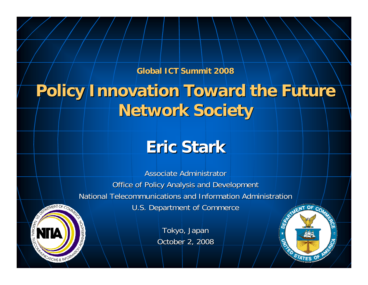**Global ICT Summit 2008 Global ICT Summit 2008**

# **Policy Innovation Toward the Future Network Society Network Society**

# **Eric Stark Eric Stark**

Associate Administrator **Office of Policy Analysis and Development** National Telecommunications and Information Administration U.S. Department of Commerce

CATIONS & INFO

Tokyo, Japan October 2, 2008  $OF<sub>c</sub>$ 

STATES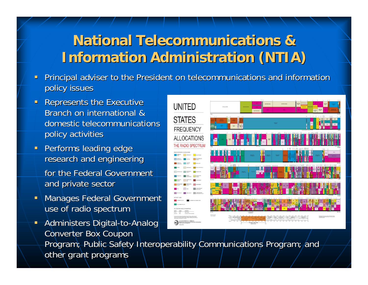## **National Telecommunications & National Telecommunications & Information Administration (NTIA)**

- Principal adviser to the President on telecommunications and information policy issues
- $\blacksquare$ **Represents the Executive** Branch on international & domestic telecommunications policy activities
- $\blacksquare$ Performs leading edge research and engineering for the Federal Government and private sector
- Τ **Manages Federal Government** use of radio spectrum
- $\blacksquare$ Administers Digital-to-Analog Converter Box Coupon Program; Public Safety Interoperability Communications Program; and other grant programs

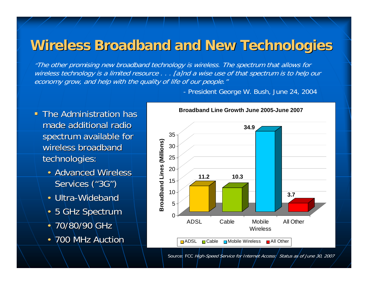### **Wireless Broadband and New Technologies**

"The other promising new broadband technology is wireless. The spectrum that allows for wireless technology is a limited resource . . . [a]nd a wise use of that spectrum is to help our economy grow, and help with the quality of life of our people."

- President George W. Bush, June 24, 2004

- **The Administration has The Administration has** made additional radio spectrum available for wireless broadband technologies:
	- Advanced Wireless Services ("3G")
	- Ultra-Wideband
	- 5 GHz Spectrum
	- 70/80/90 GHz
	- 700 MHz Auction



Source: FCC High-Speed Service for Internet Access: Status as of June 30, 2007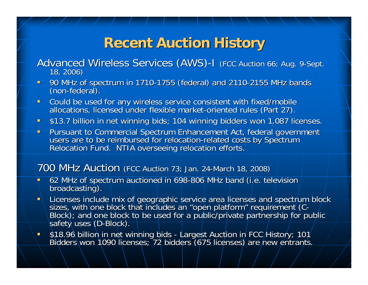## **Recent Auction History Recent Auction History**

# Advanced Wireless Services (AWS)-I (FCC Auction 66; Aug. 9-Sept.<br>18, 2006)

- 90 MHz of spectrum in 1710-1755 (federal) and 2110-2155 MHz bands (non-federal).
- $\mathbf{u}$  . Could be used for any wireless service consistent with fixed/mobile<br>allocations, licensed under flexible market-oriented rules (Part 27).
- **513.7 billion in net winning bids; 104 winning bidders won 1,087 licenses.**
- $\blacksquare$ Pursuant to Commercial Spectrum Enhancement Act, federal government users are to be reimbursed for relocation-related costs by Spectrum Relocation Fund. NTIA overseeing relocation efforts. users are to be reimbursed for relocation-related costs by Spectrum

### $700$  MHz Auction (FCC Auction 73; Jan. 24-March 18, 2008)

- п 62 MHz of spectrum auctioned in 698-806 MHz band (i.e. television broadcasting).
- ٠ - Licenses include mix of geographic service area licenses and spectrum block<br>sizes, with one block that includes an "open platform" requirement (C-<br>Block); and one block to be used for a public/private partnership for pub
- ш \$18.96 billion in net winning bids - Largest Auction in FCC History; 101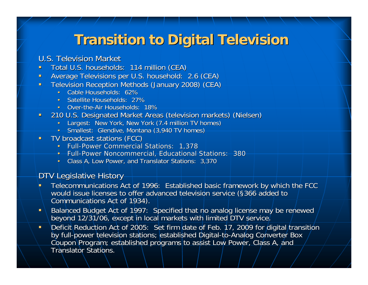### **Transition to Digital Television**

### U.S. Television Market

- $\blacksquare$ Total U.S. households: 114 million (CEA)
- $\blacksquare$ Average Televisions per U.S. household: 2.6 (CEA)
- $\blacksquare$ Television Reception Methods (January 2008) (CEA)
	- •Cable Households: 62%
	- •Satellite Households: 27%
	- Over-the-Air Households: 18%
- $\blacksquare$  210 U.S. Designated Market Areas (television markets) (Nielsen) 210 U.S. Designated Market Areas (television
	- Largest: New York, New York (7.4 million TV homes)
	- •Smallest: Glendive, Montana (3,940 TV homes)
- TV broadcast stations (FCC)
	- Full-Power Commercial Stations: 1,378
	- Full-Power Noncommercial, Educational Stations: 380
	- Class A, Low Power, and Translator Stations: 3,370

### DTV Legislative History

- Telecommunications Act of 1996: Established basic framework by which the FCC would issue licenses to offer advanced television service (§366 added to Communications Act of 1934). Communications Act of 1934).
- Balanced Budget Act of 1997: Specified that no analog license may be renewed beyond 12/31/06, except in local markets with limited DTV service.
- ш Deficit Reduction Act of 2005: Set firm date of Feb. 17, 2009 for digital transition by full-power television stations; established Digital-to-Analog Converter Box Coupon Program; established programs to assist Low Power, Class A, and Translator Stations.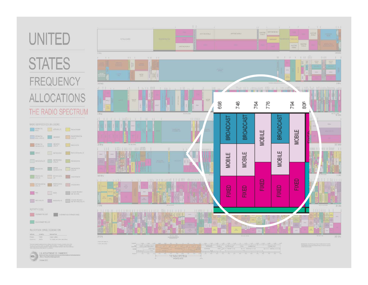# **UNITED**

## **STATES FREQUENCY ALLOCATIONS** THE RADIO SPECTRUM





center2ml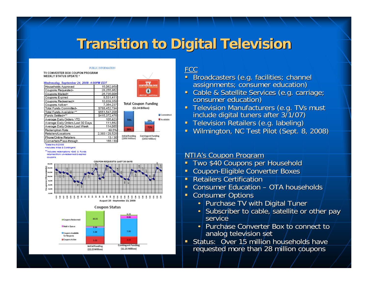### **Transition to Digital Television**

#### PURLIC INFORMATION

TV CONVERTER BOX COUPON PROGRAM **WEEKLY STATUS UPDATE \*** 

#### Wednesday, September 24, 2008- 4:00PM EDT

| Households Approved               | 15,062,959     |
|-----------------------------------|----------------|
| Coupons Requested+                | 28.255.862     |
| Coupons Mailed+                   | 26,735,006     |
| Coupons Expired                   | 8,531,411      |
| Coupons Redeemed+                 | 10,839,358     |
| Coupons Active+                   | 7.364.237      |
| Total Funds Committed-            | \$788,452,794  |
| Total Funds Available+xx          | \$551.547.206  |
|                                   |                |
| Funds Settled+**                  | \$415,372,476  |
| Average Daily Orders YTD          | 105,823        |
| Average Daily Orders Last 30 Days | 111,662        |
| Average Daily Orders Last Week    | 114,065        |
| Redemption Rate                   | 49.5%          |
| Retailers/Locations               | 2,383 / 29,528 |
| Phone/Online Retailers            | 13/36          |



**Total Coupon Funding** (\$1.34 Billion) Committed Available

#### **Initial Funding Contingent Funding**

(\$890 Million) (\$450 Million)

"Data thru 9/23/08 +Includes Initial & Contingent

\*\* Includes redemptions <\$40 & Funds

returned from un-redeemed & expired coupons



#### 第 52 第 82 景 116 116 116 116 116 116 116 August 25 - September 23, 2008



### FCC

- Broadcasters (e.g. facilities; channel assignments; consumer education)
- Cable & Satellite Services (e.g. carriage; consumer education)
- Television Manufacturers (e.g. TVs must include digital tuners after 3/1/07)
- $\blacksquare$ Television Retailers (e.g. labeling)
- o. Wilmington, NC Test Pilot (Sept. 8, 2008)

### NTIA's Coupon Program

- п Two \$40 Coupons per Household
- Г Coupon-Eligible Converter Boxes
- Г **Retailers Certification**
- Г Consumer Education – OTA households
- п **Consumer Options** 
	- Purchase TV with Digital Tuner
	- •Subscriber to cable, satellite or other pay service
	- •Purchase Converter Box to connect to analog television set
- Г Status: Over 15 million households have requested more than 28 million coupons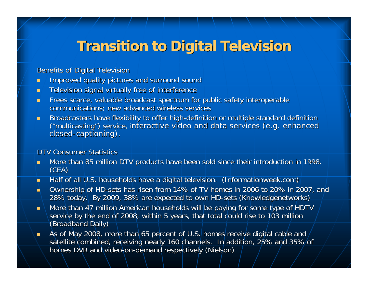## **Transition to Digital Television**

**Benefits of Digital Television** 

- $\blacksquare$ Improved quality pictures and surround sound Improved quality pictures and surround sound
- $\blacksquare$ Television signal virtually free of interference
- $\blacksquare$ Frees scarce, valuable broadcast spectrum for public safety interoperable communications; new advanced wireless services
- m. Broadcasters have flexibility to offer high-definition or multiple standard definition ("multicasting") service, interactive video and data services (e.g. enhanced closed-captioning).

### DTV Consumer Statistics

- $\blacksquare$ More than 85 million DTV products have been sold since their introduction in 1998. (CEA)
- ш. Half of all U.S. households have a digital television. (Informationweek.com)
- a. Ownership of HD-sets has risen from 14% of TV homes in 2006 to 20% in 2007, and 28% today. By 2009, 38% are expected to own HD-sets (Knowledgenetworks)
- $\blacksquare$ More than 47 million American households will be paying for some type of HDTV service by the end of 2008; within 5 years, that total could rise to 103 million (Broadband Daily)
- $\blacksquare$ As of May 2008, more than 65 percent of U.S. homes receive digital cable and satellite combined, receiving nearly 160 channels. In addition, 25% and 35% of homes DVR and video-on-demand respectively (Nielson)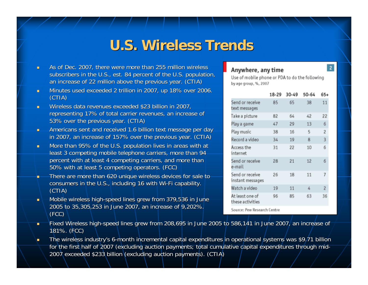### **U.S. Wireless Trends U.S. Wireless Trends**

- $\blacksquare$ As of Dec. 2007, there were more than 255 million wireless subscribers in the U.S., est. 84 percent of the U.S. population, an increase of 22 million above the previous year. (CTIA)
- $\blacksquare$ Minutes used exceeded 2 trillion in 2007, up 18% over 2006. (CTIA)
- $\blacksquare$ Wireless data revenues exceeded \$23 billion in 2007, representing 17% of total carrier revenues, an increase of 53% over the previous year. (CTIA) 53% over the previous year. (CTIA)
- m. Americans sent and received 1.6 billion text message per day in 2007, an increase of 157% over the previous year. (CTIA)
- $\blacksquare$ More than 95% of the U.S. population lives in areas with at least 3 competing mobile telephone carriers, more than 94 percent with at least 4 competing carriers, and more than 50% with at least 5 competing operators. (FCC)
- There are more than 620 unique wireless devices for sale to consumers in the U.S., including 16 with Wi-Fi capability. (CTIA)
- ٠ Mobile wireless high-speed lines grew from 379,536 in June 2005 to 35,305,253 in June 2007, an increase of 9,202%. (FCC)

#### Anywhere, any time

by age group, %, 2007

18-29 30-49 50-64 65+ Send or receive 38 85 65. 11 text messages Take a picture 82 64 42 22 6 Play a game 47 29 13 Play music 38 16 5  $\overline{c}$ 3 Record a video 34  $10$ 8 Access the  $31$ 22 10 6 internet Send or receive 28  $21$  $12$ 6 e-mail Send or receive 26 18 11  $\overline{I}$ instant messages Watch a video 19 11 4  $\overline{\mathbf{c}}$ At least one of 96 85 63 36 these activities Source: Pew Research Centre

Use of mobile phone or PDA to do the following

- п Fixed Wireless high-speed lines grew from 208,695 in June 2005 to 586,141 in June 2007, an increase of 181%. (FCC) 181%. (FCC)
- $\blacksquare$ The wireless industry's 6-month incremental capital expenditures in operational systems was \$9.71 billion for the first half of 2007 (excluding auction payments; total cumulative capital expenditures through mid-2007 exceeded \$233 billion (excluding auction payments). (CTIA) 2007 exceeded \$233 billion (excluding auction payments). (CTIA)

 $\overline{2}$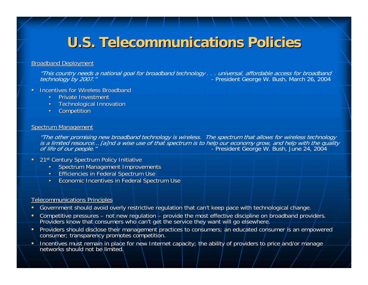## **U.S. Telecommunications Policies U.S. Telecommunications Policies**

#### **Broadband Deployment**

"This country needs a national goal for broadband technology . . . universal, affordable access for broadband<br>President George W. Bush, March 26, 2004 - President George W. Bush, March 26, 2004

- $\blacksquare$ **Incentives for Wireless Broadband** 
	- •**Private Investment**
	- •**Technological Innovation**
	- •**Competition**

#### **Spectrum Management**

"The other promising new broadband technology is wireless. The spectrum that allows for wireless technology<br>is a limited resource… [a]nd a wise use of that spectrum is to help our economy grow, and help with the quality *of life of our people."* The same section of the President George W. Bush, June 24, 2004

- $\blacksquare$ 21st Century Spectrum Policy Initiative
	- •Spectrum Management Improvements
	- Efficiencies in Federal Spectrum Use
	- •Economic Incentives in Federal Spectrum Use

#### **Telecommunications Principles**

- Government should avoid overly restrictive regulation that can't keep pace with technological change.
- $\blacksquare$ ■ Competitive pressures – not new regulation – provide the most effective discipline on broadband providers.<br>— Providers know that consumers who can't get the service they want will go elsewhere.
- Œ. Providers should disclose their management practices to consumers; an educated consumer is an empowered<br>consumer; transparency promotes competition.
- Incentives must remain in place for new Internet capacity; the ability of providers to price and/or manage hetworks should not be limited. networks should not be limited.